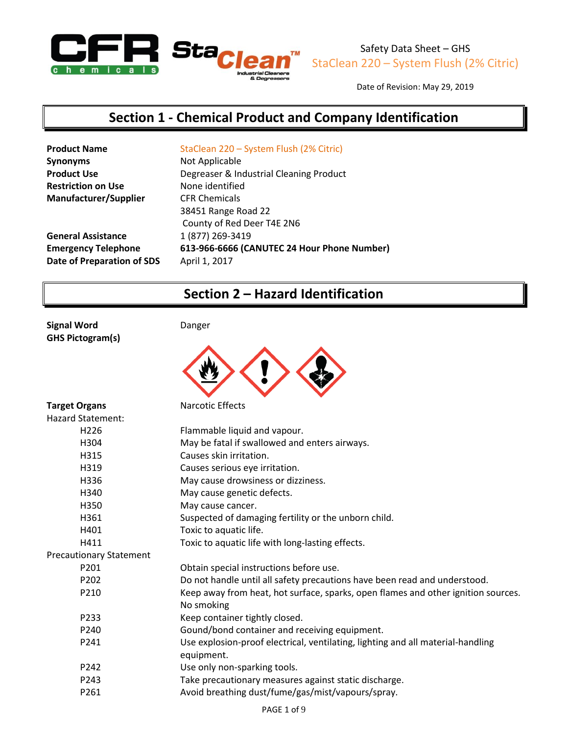

Date of Revision: May 29, 2019

# **Section 1 - Chemical Product and Company Identification**

| <b>Product Name</b>          | StaClean 220 - System Flush (2% Citric)     |
|------------------------------|---------------------------------------------|
| <b>Synonyms</b>              | Not Applicable                              |
| <b>Product Use</b>           | Degreaser & Industrial Cleaning Product     |
| <b>Restriction on Use</b>    | None identified                             |
| <b>Manufacturer/Supplier</b> | <b>CFR Chemicals</b>                        |
|                              | 38451 Range Road 22                         |
|                              | County of Red Deer T4E 2N6                  |
| <b>General Assistance</b>    | 1 (877) 269-3419                            |
| <b>Emergency Telephone</b>   | 613-966-6666 (CANUTEC 24 Hour Phone Number) |
| Date of Preparation of SDS   | April 1, 2017                               |
|                              |                                             |

# **Section 2 – Hazard Identification**

**Signal Word Danger GHS Pictogram(s)**



| <b>Target Organs</b>           | <b>Narcotic Effects</b>                                                           |
|--------------------------------|-----------------------------------------------------------------------------------|
| <b>Hazard Statement:</b>       |                                                                                   |
| H <sub>226</sub>               | Flammable liquid and vapour.                                                      |
| H304                           | May be fatal if swallowed and enters airways.                                     |
| H315                           | Causes skin irritation.                                                           |
| H319                           | Causes serious eye irritation.                                                    |
| H336                           | May cause drowsiness or dizziness.                                                |
| H340                           | May cause genetic defects.                                                        |
| H350                           | May cause cancer.                                                                 |
| H361                           | Suspected of damaging fertility or the unborn child.                              |
| H401                           | Toxic to aquatic life.                                                            |
| H411                           | Toxic to aquatic life with long-lasting effects.                                  |
| <b>Precautionary Statement</b> |                                                                                   |
| P <sub>201</sub>               | Obtain special instructions before use.                                           |
| P202                           | Do not handle until all safety precautions have been read and understood.         |
| P210                           | Keep away from heat, hot surface, sparks, open flames and other ignition sources. |
|                                | No smoking                                                                        |
| P233                           | Keep container tightly closed.                                                    |
| P240                           | Gound/bond container and receiving equipment.                                     |
| P241                           | Use explosion-proof electrical, ventilating, lighting and all material-handling   |
|                                | equipment.                                                                        |
| P242                           | Use only non-sparking tools.                                                      |
| P <sub>243</sub>               | Take precautionary measures against static discharge.                             |
| P261                           | Avoid breathing dust/fume/gas/mist/vapours/spray.                                 |
|                                |                                                                                   |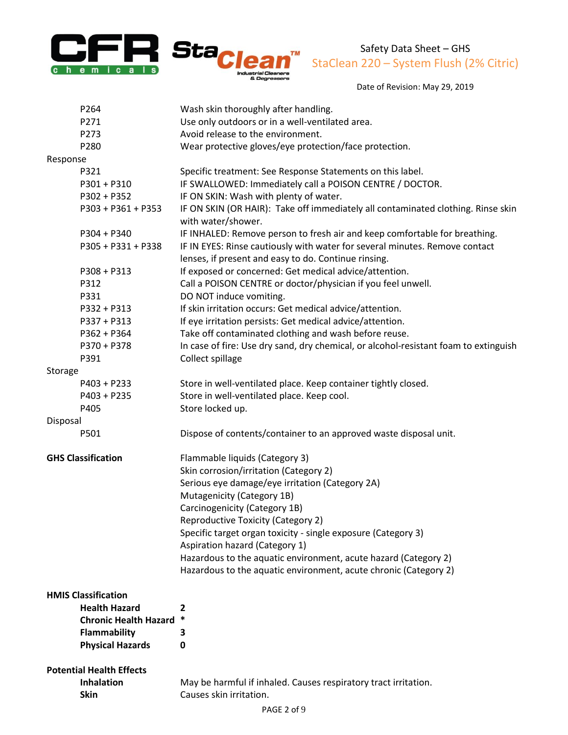



Date of Revision: May 29, 2019

| P264                            | Wash skin thoroughly after handling.                                                                                                |
|---------------------------------|-------------------------------------------------------------------------------------------------------------------------------------|
| P271                            | Use only outdoors or in a well-ventilated area.                                                                                     |
| P273                            | Avoid release to the environment.                                                                                                   |
| P280                            | Wear protective gloves/eye protection/face protection.                                                                              |
| Response                        |                                                                                                                                     |
| P321                            | Specific treatment: See Response Statements on this label.                                                                          |
| $P301 + P310$                   | IF SWALLOWED: Immediately call a POISON CENTRE / DOCTOR.                                                                            |
| P302 + P352                     | IF ON SKIN: Wash with plenty of water.                                                                                              |
| P303 + P361 + P353              | IF ON SKIN (OR HAIR): Take off immediately all contaminated clothing. Rinse skin<br>with water/shower.                              |
| $P304 + P340$                   | IF INHALED: Remove person to fresh air and keep comfortable for breathing.                                                          |
| P305 + P331 + P338              | IF IN EYES: Rinse cautiously with water for several minutes. Remove contact<br>lenses, if present and easy to do. Continue rinsing. |
| $P308 + P313$                   | If exposed or concerned: Get medical advice/attention.                                                                              |
| P312                            | Call a POISON CENTRE or doctor/physician if you feel unwell.                                                                        |
| P331                            | DO NOT induce vomiting.                                                                                                             |
| P332 + P313                     | If skin irritation occurs: Get medical advice/attention.                                                                            |
| P337 + P313                     | If eye irritation persists: Get medical advice/attention.                                                                           |
| $P362 + P364$                   | Take off contaminated clothing and wash before reuse.                                                                               |
| P370 + P378                     | In case of fire: Use dry sand, dry chemical, or alcohol-resistant foam to extinguish                                                |
| P391                            | Collect spillage                                                                                                                    |
| Storage                         |                                                                                                                                     |
| $P403 + P233$                   | Store in well-ventilated place. Keep container tightly closed.                                                                      |
| $P403 + P235$                   | Store in well-ventilated place. Keep cool.                                                                                          |
| P405                            | Store locked up.                                                                                                                    |
| Disposal                        |                                                                                                                                     |
| P501                            | Dispose of contents/container to an approved waste disposal unit.                                                                   |
| <b>GHS Classification</b>       | Flammable liquids (Category 3)                                                                                                      |
|                                 | Skin corrosion/irritation (Category 2)                                                                                              |
|                                 | Serious eye damage/eye irritation (Category 2A)                                                                                     |
|                                 | Mutagenicity (Category 1B)                                                                                                          |
|                                 | Carcinogenicity (Category 1B)                                                                                                       |
|                                 | Reproductive Toxicity (Category 2)                                                                                                  |
|                                 | Specific target organ toxicity - single exposure (Category 3)                                                                       |
|                                 | Aspiration hazard (Category 1)                                                                                                      |
|                                 | Hazardous to the aquatic environment, acute hazard (Category 2)                                                                     |
|                                 | Hazardous to the aquatic environment, acute chronic (Category 2)                                                                    |
| <b>HMIS Classification</b>      |                                                                                                                                     |
| <b>Health Hazard</b>            | 2                                                                                                                                   |
| <b>Chronic Health Hazard</b>    | *                                                                                                                                   |
| Flammability                    | 3                                                                                                                                   |
| <b>Physical Hazards</b>         | 0                                                                                                                                   |
| <b>Potential Health Effects</b> |                                                                                                                                     |
| <b>Inhalation</b>               | May be harmful if inhaled. Causes respiratory tract irritation.                                                                     |
| <b>Skin</b>                     | Causes skin irritation.                                                                                                             |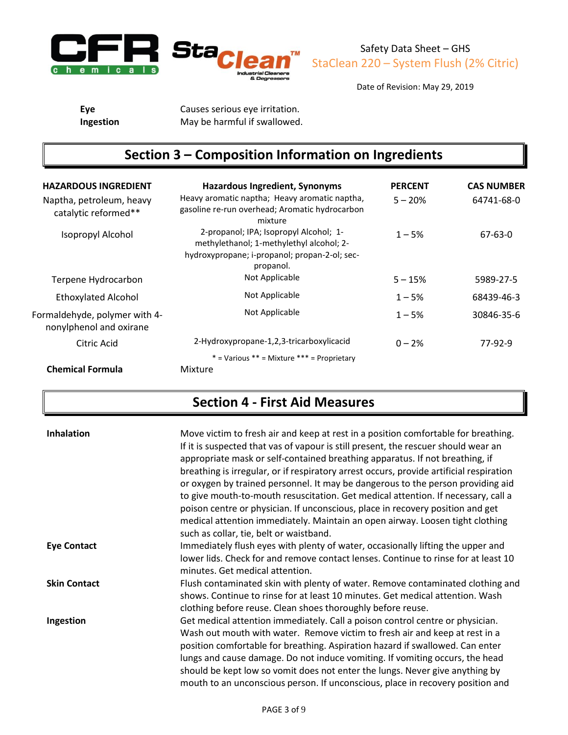

Date of Revision: May 29, 2019

**Eye** Causes serious eye irritation. **Ingestion** May be harmful if swallowed.

# **Section 3 – Composition Information on Ingredients**

| <b>HAZARDOUS INGREDIENT</b>                              | <b>Hazardous Ingredient, Synonyms</b>                                                                                                            | <b>PERCENT</b> | <b>CAS NUMBER</b> |
|----------------------------------------------------------|--------------------------------------------------------------------------------------------------------------------------------------------------|----------------|-------------------|
| Naptha, petroleum, heavy<br>catalytic reformed**         | Heavy aromatic naptha; Heavy aromatic naptha,<br>gasoline re-run overhead; Aromatic hydrocarbon<br>mixture                                       | $5 - 20%$      | 64741-68-0        |
| Isopropyl Alcohol                                        | 2-propanol; IPA; Isopropyl Alcohol; 1-<br>methylethanol; 1-methylethyl alcohol; 2-<br>hydroxypropane; i-propanol; propan-2-ol; sec-<br>propanol. | $1 - 5%$       | 67-63-0           |
| Terpene Hydrocarbon                                      | Not Applicable                                                                                                                                   | $5 - 15%$      | 5989-27-5         |
| <b>Ethoxylated Alcohol</b>                               | Not Applicable                                                                                                                                   | $1 - 5%$       | 68439-46-3        |
| Formaldehyde, polymer with 4-<br>nonylphenol and oxirane | Not Applicable                                                                                                                                   | $1 - 5%$       | 30846-35-6        |
| Citric Acid                                              | 2-Hydroxypropane-1,2,3-tricarboxylicacid                                                                                                         | $0 - 2%$       | 77-92-9           |
|                                                          | $*$ = Various $**$ = Mixture $***$ = Proprietary                                                                                                 |                |                   |
| <b>Chemical Formula</b>                                  | Mixture                                                                                                                                          |                |                   |

# **Section 4 - First Aid Measures**

| <b>Inhalation</b>   | Move victim to fresh air and keep at rest in a position comfortable for breathing.<br>If it is suspected that vas of vapour is still present, the rescuer should wear an<br>appropriate mask or self-contained breathing apparatus. If not breathing, if<br>breathing is irregular, or if respiratory arrest occurs, provide artificial respiration<br>or oxygen by trained personnel. It may be dangerous to the person providing aid<br>to give mouth-to-mouth resuscitation. Get medical attention. If necessary, call a<br>poison centre or physician. If unconscious, place in recovery position and get<br>medical attention immediately. Maintain an open airway. Loosen tight clothing<br>such as collar, tie, belt or waistband. |
|---------------------|-------------------------------------------------------------------------------------------------------------------------------------------------------------------------------------------------------------------------------------------------------------------------------------------------------------------------------------------------------------------------------------------------------------------------------------------------------------------------------------------------------------------------------------------------------------------------------------------------------------------------------------------------------------------------------------------------------------------------------------------|
| <b>Eye Contact</b>  | Immediately flush eyes with plenty of water, occasionally lifting the upper and<br>lower lids. Check for and remove contact lenses. Continue to rinse for at least 10<br>minutes. Get medical attention.                                                                                                                                                                                                                                                                                                                                                                                                                                                                                                                                  |
| <b>Skin Contact</b> | Flush contaminated skin with plenty of water. Remove contaminated clothing and<br>shows. Continue to rinse for at least 10 minutes. Get medical attention. Wash<br>clothing before reuse. Clean shoes thoroughly before reuse.                                                                                                                                                                                                                                                                                                                                                                                                                                                                                                            |
| Ingestion           | Get medical attention immediately. Call a poison control centre or physician.<br>Wash out mouth with water. Remove victim to fresh air and keep at rest in a<br>position comfortable for breathing. Aspiration hazard if swallowed. Can enter<br>lungs and cause damage. Do not induce vomiting. If vomiting occurs, the head<br>should be kept low so vomit does not enter the lungs. Never give anything by<br>mouth to an unconscious person. If unconscious, place in recovery position and                                                                                                                                                                                                                                           |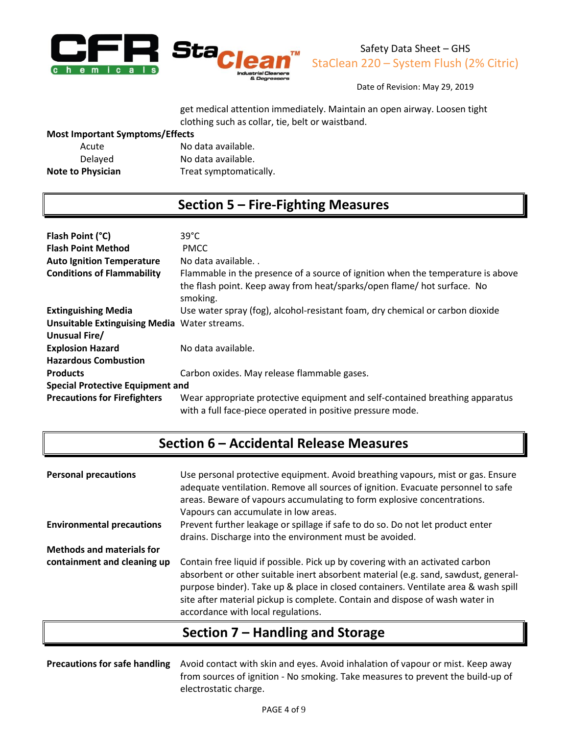

Date of Revision: May 29, 2019

get medical attention immediately. Maintain an open airway. Loosen tight clothing such as collar, tie, belt or waistband.

#### **Most Important Symptoms/Effects**

| Acute                    | No data available.     |
|--------------------------|------------------------|
| Delayed                  | No data available.     |
| <b>Note to Physician</b> | Treat symptomatically. |

## **Section 5 – Fire-Fighting Measures**

| Flash Point (°C)                                    | $39^{\circ}$ C                                                                                                                                                         |  |
|-----------------------------------------------------|------------------------------------------------------------------------------------------------------------------------------------------------------------------------|--|
| <b>Flash Point Method</b>                           | <b>PMCC</b>                                                                                                                                                            |  |
| <b>Auto Ignition Temperature</b>                    | No data available                                                                                                                                                      |  |
| <b>Conditions of Flammability</b>                   | Flammable in the presence of a source of ignition when the temperature is above<br>the flash point. Keep away from heat/sparks/open flame/ hot surface. No<br>smoking. |  |
| <b>Extinguishing Media</b>                          | Use water spray (fog), alcohol-resistant foam, dry chemical or carbon dioxide                                                                                          |  |
| <b>Unsuitable Extinguising Media Water streams.</b> |                                                                                                                                                                        |  |
| Unusual Fire/                                       |                                                                                                                                                                        |  |
| <b>Explosion Hazard</b>                             | No data available.                                                                                                                                                     |  |
| <b>Hazardous Combustion</b>                         |                                                                                                                                                                        |  |
| <b>Products</b>                                     | Carbon oxides. May release flammable gases.                                                                                                                            |  |
| <b>Special Protective Equipment and</b>             |                                                                                                                                                                        |  |
| <b>Precautions for Firefighters</b>                 | Wear appropriate protective equipment and self-contained breathing apparatus<br>with a full face-piece operated in positive pressure mode.                             |  |

# **Section 6 – Accidental Release Measures**

| <b>Personal precautions</b>      | Use personal protective equipment. Avoid breathing vapours, mist or gas. Ensure<br>adequate ventilation. Remove all sources of ignition. Evacuate personnel to safe<br>areas. Beware of vapours accumulating to form explosive concentrations.<br>Vapours can accumulate in low areas.                                                                                          |
|----------------------------------|---------------------------------------------------------------------------------------------------------------------------------------------------------------------------------------------------------------------------------------------------------------------------------------------------------------------------------------------------------------------------------|
| <b>Environmental precautions</b> | Prevent further leakage or spillage if safe to do so. Do not let product enter<br>drains. Discharge into the environment must be avoided.                                                                                                                                                                                                                                       |
| <b>Methods and materials for</b> |                                                                                                                                                                                                                                                                                                                                                                                 |
| containment and cleaning up      | Contain free liquid if possible. Pick up by covering with an activated carbon<br>absorbent or other suitable inert absorbent material (e.g. sand, sawdust, general-<br>purpose binder). Take up & place in closed containers. Ventilate area & wash spill<br>site after material pickup is complete. Contain and dispose of wash water in<br>accordance with local regulations. |

## **Section 7 – Handling and Storage**

**Precautions for safe handling** Avoid contact with skin and eyes. Avoid inhalation of vapour or mist. Keep away from sources of ignition - No smoking. Take measures to prevent the build-up of electrostatic charge.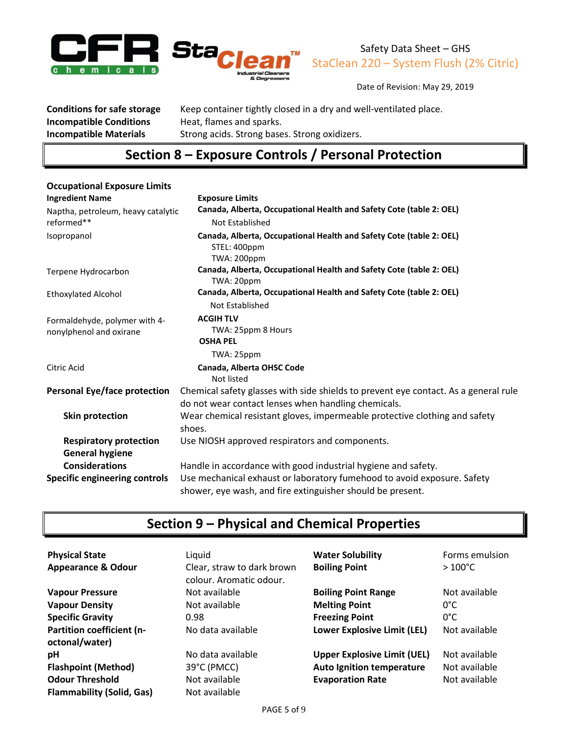



Date of Revision: May 29, 2019

**Incompatible Conditions** Heat, flames and sparks.<br>**Incompatible Materials** Strong acids. Strong base

**Conditions for safe storage** Keep container tightly closed in a dry and well-ventilated place. **Strong acids. Strong bases. Strong oxidizers.** 

### **Section 8 – Exposure Controls / Personal Protection**

| <b>Occupational Exposure Limits</b>                      |                                                                                                                                            |
|----------------------------------------------------------|--------------------------------------------------------------------------------------------------------------------------------------------|
| <b>Ingredient Name</b>                                   | <b>Exposure Limits</b>                                                                                                                     |
| Naptha, petroleum, heavy catalytic<br>reformed**         | Canada, Alberta, Occupational Health and Safety Cote (table 2: OEL)<br>Not Established                                                     |
| Isopropanol                                              | Canada, Alberta, Occupational Health and Safety Cote (table 2: OEL)<br>STEL: 400ppm<br><b>TWA: 200ppm</b>                                  |
| Terpene Hydrocarbon                                      | Canada, Alberta, Occupational Health and Safety Cote (table 2: OEL)<br>TWA: 20ppm                                                          |
| <b>Ethoxylated Alcohol</b>                               | Canada, Alberta, Occupational Health and Safety Cote (table 2: OEL)<br>Not Established                                                     |
| Formaldehyde, polymer with 4-<br>nonylphenol and oxirane | <b>ACGIH TLV</b><br>TWA: 25ppm 8 Hours<br><b>OSHA PEL</b>                                                                                  |
|                                                          | TWA: 25ppm                                                                                                                                 |
| Citric Acid                                              | Canada, Alberta OHSC Code<br>Not listed                                                                                                    |
| <b>Personal Eye/face protection</b>                      | Chemical safety glasses with side shields to prevent eye contact. As a general rule<br>do not wear contact lenses when handling chemicals. |
| <b>Skin protection</b>                                   | Wear chemical resistant gloves, impermeable protective clothing and safety<br>shoes.                                                       |
| <b>Respiratory protection</b><br><b>General hygiene</b>  | Use NIOSH approved respirators and components.                                                                                             |
| <b>Considerations</b>                                    | Handle in accordance with good industrial hygiene and safety.                                                                              |
| <b>Specific engineering controls</b>                     | Use mechanical exhaust or laboratory fumehood to avoid exposure. Safety<br>shower, eye wash, and fire extinguisher should be present.      |

# **Section 9 – Physical and Chemical Properties**

| <b>Physical State</b><br><b>Appearance &amp; Odour</b> | Liquid<br>Clear, straw to dark brown<br>colour. Aromatic odour. | <b>Water Solubility</b><br><b>Boiling Point</b> | Forms emulsion<br>$>100^{\circ}$ C |
|--------------------------------------------------------|-----------------------------------------------------------------|-------------------------------------------------|------------------------------------|
| <b>Vapour Pressure</b>                                 | Not available                                                   | <b>Boiling Point Range</b>                      | Not available                      |
| <b>Vapour Density</b>                                  | Not available                                                   | <b>Melting Point</b>                            | $0^{\circ}$ C                      |
| <b>Specific Gravity</b>                                | 0.98                                                            | <b>Freezing Point</b>                           | $0^{\circ}$ C                      |
| Partition coefficient (n-<br>octonal/water)            | No data available                                               | Lower Explosive Limit (LEL)                     | Not available                      |
| рH                                                     | No data available                                               | <b>Upper Explosive Limit (UEL)</b>              | Not available                      |
| <b>Flashpoint (Method)</b>                             | 39°C (PMCC)                                                     | <b>Auto Ignition temperature</b>                | Not available                      |
| <b>Odour Threshold</b>                                 | Not available                                                   | <b>Evaporation Rate</b>                         | Not available                      |
| <b>Flammability (Solid, Gas)</b>                       | Not available                                                   |                                                 |                                    |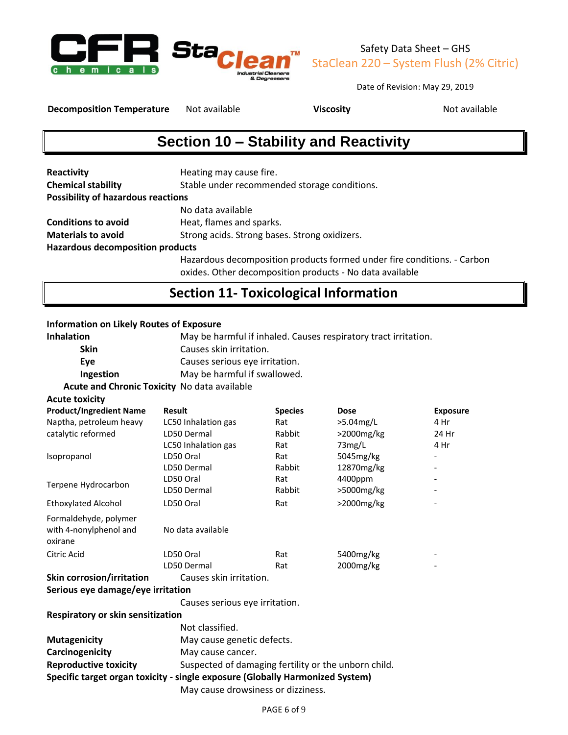

Date of Revision: May 29, 2019

**Decomposition Temperature** Not available **Viscosity Viscosity** Not available

# **Section 10 – Stability and Reactivity**

| Reactivity                                | Heating may cause fire.                                                 |
|-------------------------------------------|-------------------------------------------------------------------------|
| <b>Chemical stability</b>                 | Stable under recommended storage conditions.                            |
| <b>Possibility of hazardous reactions</b> |                                                                         |
|                                           | No data available                                                       |
| <b>Conditions to avoid</b>                | Heat, flames and sparks.                                                |
| <b>Materials to avoid</b>                 | Strong acids. Strong bases. Strong oxidizers.                           |
| <b>Hazardous decomposition products</b>   |                                                                         |
|                                           | Hazardous decomposition products formed under fire conditions. - Carbon |
|                                           | oxides. Other decomposition products - No data available                |

## **Section 11- Toxicological Information**

#### **Information on Likely Routes of Exposure**

| <b>Inhalation</b>                             | May be harmful if inhaled. Causes respiratory tract irritation. |
|-----------------------------------------------|-----------------------------------------------------------------|
| <b>Skin</b>                                   | Causes skin irritation.                                         |
| Eve                                           | Causes serious eye irritation.                                  |
| Ingestion                                     | May be harmful if swallowed.                                    |
| Acute and Chronic Tovicity, No data quailable |                                                                 |

**Acute and Chronic Toxicity** No data available

| <b>Acute toxicity</b>                                      |                     |                |               |                          |
|------------------------------------------------------------|---------------------|----------------|---------------|--------------------------|
| <b>Product/Ingredient Name</b>                             | <b>Result</b>       | <b>Species</b> | <b>Dose</b>   | <b>Exposure</b>          |
| Naptha, petroleum heavy                                    | LC50 Inhalation gas | Rat            | $>5.04$ mg/L  | 4 Hr                     |
| catalytic reformed                                         | LD50 Dermal         | Rabbit         | $>2000$ mg/kg | 24 Hr                    |
|                                                            | LC50 Inhalation gas | Rat            | 73mg/L        | 4 Hr                     |
| Isopropanol                                                | LD50 Oral           | Rat            | 5045mg/kg     | $\overline{\phantom{a}}$ |
|                                                            | LD50 Dermal         | Rabbit         | 12870mg/kg    | $\overline{\phantom{a}}$ |
| Terpene Hydrocarbon                                        | LD50 Oral           | Rat            | 4400ppm       | $\overline{\phantom{a}}$ |
|                                                            | LD50 Dermal         | Rabbit         | >5000mg/kg    | $\overline{\phantom{a}}$ |
| <b>Ethoxylated Alcohol</b>                                 | LD50 Oral           | Rat            | >2000mg/kg    |                          |
| Formaldehyde, polymer<br>with 4-nonylphenol and<br>oxirane | No data available   |                |               |                          |
| Citric Acid                                                | LD50 Oral           | Rat            | 5400mg/kg     | $\overline{\phantom{0}}$ |
|                                                            | LD50 Dermal         | Rat            | 2000mg/kg     | $\overline{\phantom{a}}$ |
|                                                            |                     |                |               |                          |

### **Skin corrosion/irritation** Causes skin irritation.

**Serious eye damage/eye irritation**

Causes serious eye irritation.

#### **Respiratory or skin sensitization** Not classified. **Mutagenicity** May cause genetic defects.

|                                                                               | May cause drowsiness or dizziness.                   |  |
|-------------------------------------------------------------------------------|------------------------------------------------------|--|
| Specific target organ toxicity - single exposure (Globally Harmonized System) |                                                      |  |
| <b>Reproductive toxicity</b>                                                  | Suspected of damaging fertility or the unborn child. |  |
| Carcinogenicity                                                               | May cause cancer.                                    |  |
| <b>IVIUTAGENICITY</b>                                                         | iviav cause genetic defects.                         |  |

PAGE 6 of 9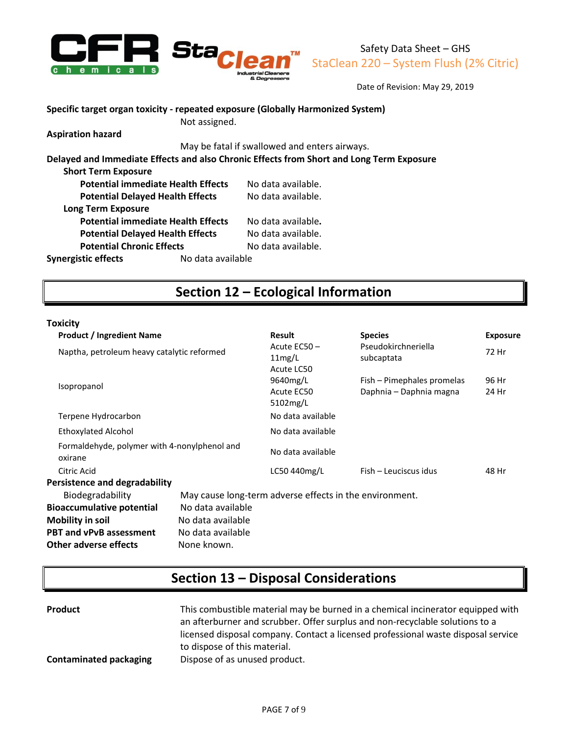

Date of Revision: May 29, 2019

**Specific target organ toxicity - repeated exposure (Globally Harmonized System)**

Not assigned. **Aspiration hazard**

May be fatal if swallowed and enters airways.

**Delayed and Immediate Effects and also Chronic Effects from Short and Long Term Exposure**

| <b>Short Term Exposure</b>                |                   |                    |
|-------------------------------------------|-------------------|--------------------|
| <b>Potential immediate Health Effects</b> |                   | No data available. |
| <b>Potential Delayed Health Effects</b>   |                   | No data available. |
| <b>Long Term Exposure</b>                 |                   |                    |
| <b>Potential immediate Health Effects</b> |                   | No data available. |
| <b>Potential Delayed Health Effects</b>   |                   | No data available. |
| <b>Potential Chronic Effects</b>          |                   | No data available. |
| <b>Synergistic effects</b>                | No data available |                    |

## **Section 12 – Ecological Information**

#### **Toxicity**

| <b>Product / Ingredient Name</b>                        |                   | <b>Result</b>                                           | <b>Species</b>                                        | <b>Exposure</b> |
|---------------------------------------------------------|-------------------|---------------------------------------------------------|-------------------------------------------------------|-----------------|
| Naptha, petroleum heavy catalytic reformed              |                   | Acute EC50-<br>11mg/L<br>Acute LC50                     | Pseudokirchneriella<br>subcaptata                     | 72 Hr           |
| Isopropanol                                             |                   | 9640mg/L<br>Acute EC50<br>5102mg/L                      | Fish – Pimephales promelas<br>Daphnia - Daphnia magna | 96 Hr<br>24 Hr  |
| Terpene Hydrocarbon                                     |                   | No data available                                       |                                                       |                 |
| <b>Ethoxylated Alcohol</b>                              |                   | No data available                                       |                                                       |                 |
| Formaldehyde, polymer with 4-nonylphenol and<br>oxirane |                   | No data available                                       |                                                       |                 |
| Citric Acid                                             |                   | LC50 440mg/L                                            | Fish - Leuciscus idus                                 | 48 Hr           |
| <b>Persistence and degradability</b>                    |                   |                                                         |                                                       |                 |
| Biodegradability                                        |                   | May cause long-term adverse effects in the environment. |                                                       |                 |
| <b>Bioaccumulative potential</b>                        | No data available |                                                         |                                                       |                 |
| <b>Mobility in soil</b>                                 | No data available |                                                         |                                                       |                 |
| <b>PBT and vPvB assessment</b>                          | No data available |                                                         |                                                       |                 |
| <b>Other adverse effects</b>                            | None known.       |                                                         |                                                       |                 |

## **Section 13 – Disposal Considerations**

| <b>Product</b>                | This combustible material may be burned in a chemical incinerator equipped with<br>an afterburner and scrubber. Offer surplus and non-recyclable solutions to a<br>licensed disposal company. Contact a licensed professional waste disposal service |
|-------------------------------|------------------------------------------------------------------------------------------------------------------------------------------------------------------------------------------------------------------------------------------------------|
|                               | to dispose of this material.                                                                                                                                                                                                                         |
| <b>Contaminated packaging</b> | Dispose of as unused product.                                                                                                                                                                                                                        |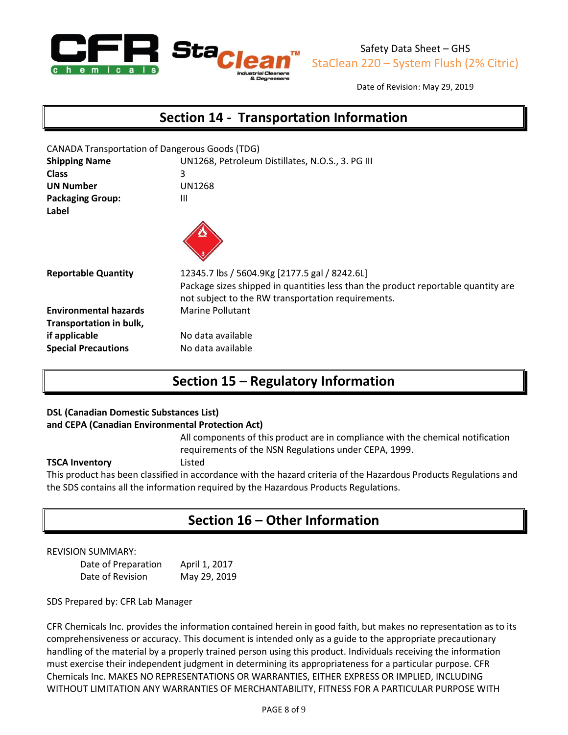

Date of Revision: May 29, 2019

**Section 14 - Transportation Information**

| <b>CANADA Transportation of Dangerous Goods (TDG)</b><br><b>Shipping Name</b><br><b>Class</b><br><b>UN Number</b><br><b>Packaging Group:</b><br>Label | UN1268, Petroleum Distillates, N.O.S., 3. PG III<br>3<br>UN1268<br>Ш                                                                                                                     |
|-------------------------------------------------------------------------------------------------------------------------------------------------------|------------------------------------------------------------------------------------------------------------------------------------------------------------------------------------------|
| <b>Reportable Quantity</b>                                                                                                                            | 12345.7 lbs / 5604.9Kg [2177.5 gal / 8242.6L]<br>Package sizes shipped in quantities less than the product reportable quantity are<br>not subject to the RW transportation requirements. |
| <b>Environmental hazards</b><br>Transportation in bulk,<br>if applicable                                                                              | <b>Marine Pollutant</b><br>No data available                                                                                                                                             |
| <b>Special Precautions</b>                                                                                                                            | No data available                                                                                                                                                                        |

## **Section 15 – Regulatory Information**

#### **DSL (Canadian Domestic Substances List)**

#### **and CEPA (Canadian Environmental Protection Act)**

All components of this product are in compliance with the chemical notification requirements of the NSN Regulations under CEPA, 1999.

#### **TSCA Inventory** Listed

This product has been classified in accordance with the hazard criteria of the Hazardous Products Regulations and the SDS contains all the information required by the Hazardous Products Regulations.

## **Section 16 – Other Information**

#### REVISION SUMMARY:

Date of Preparation April 1, 2017 Date of Revision May 29, 2019

SDS Prepared by: CFR Lab Manager

CFR Chemicals Inc. provides the information contained herein in good faith, but makes no representation as to its comprehensiveness or accuracy. This document is intended only as a guide to the appropriate precautionary handling of the material by a properly trained person using this product. Individuals receiving the information must exercise their independent judgment in determining its appropriateness for a particular purpose. CFR Chemicals Inc. MAKES NO REPRESENTATIONS OR WARRANTIES, EITHER EXPRESS OR IMPLIED, INCLUDING WITHOUT LIMITATION ANY WARRANTIES OF MERCHANTABILITY, FITNESS FOR A PARTICULAR PURPOSE WITH